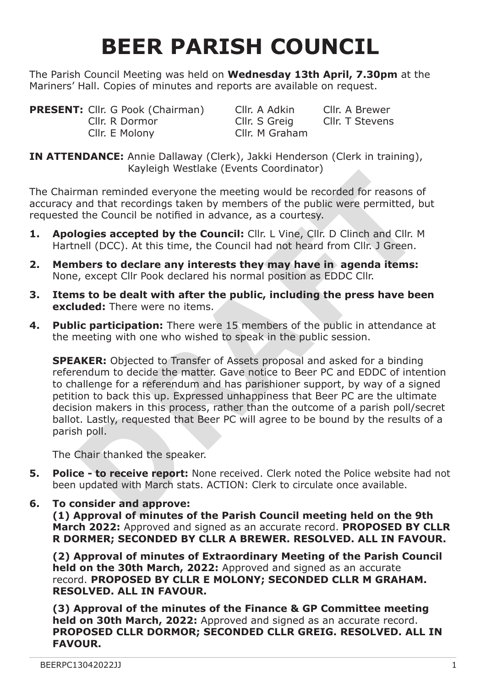# **BEER PARISH COUNCIL**

The Parish Council Meeting was held on **Wednesday 13th April, 7.30pm** at the Mariners' Hall. Copies of minutes and reports are available on request.

**PRESENT:** Cllr. G Pook (Chairman) Cllr. A Adkin Cllr. A Brewer<br>Cllr. R Dormor Cllr. S Greig Cllr. T Stevens Cllr. R Dormor Cllr. S Greig Cllr. E Molony Cllr. M Graham

**IN ATTENDANCE:** Annie Dallaway (Clerk), Jakki Henderson (Clerk in training), Kayleigh Westlake (Events Coordinator)

The Chairman reminded everyone the meeting would be recorded for reasons of accuracy and that recordings taken by members of the public were permitted, but requested the Council be notified in advance, as a courtesy.

- **1. Apologies accepted by the Council:** Cllr. L Vine, Cllr. D Clinch and Cllr. M Hartnell (DCC). At this time, the Council had not heard from Cllr. J Green.
- **2. Members to declare any interests they may have in agenda items:** None, except Cllr Pook declared his normal position as EDDC Cllr.
- **3. Items to be dealt with after the public, including the press have been excluded:** There were no items.
- **4. Public participation:** There were 15 members of the public in attendance at the meeting with one who wished to speak in the public session.

Kayleigh Westlake (Events Coordinator)<br>
man reminded everyone the meeting would be recorded for reasons of<br>
the Council be notified in advance, as a courtesy.<br> **Origins accepted by the Council:** ClIr. L Vine, ClIr. D Clinc **SPEAKER:** Objected to Transfer of Assets proposal and asked for a binding referendum to decide the matter. Gave notice to Beer PC and EDDC of intention to challenge for a referendum and has parishioner support, by way of a signed petition to back this up. Expressed unhappiness that Beer PC are the ultimate decision makers in this process, rather than the outcome of a parish poll/secret ballot. Lastly, requested that Beer PC will agree to be bound by the results of a parish poll.

The Chair thanked the speaker.

- **5. Police to receive report:** None received. Clerk noted the Police website had not been updated with March stats. ACTION: Clerk to circulate once available.
- **6. To consider and approve: (1) Approval of minutes of the Parish Council meeting held on the 9th March 2022:** Approved and signed as an accurate record. **PROPOSED BY CLLR R DORMER; SECONDED BY CLLR A BREWER. RESOLVED. ALL IN FAVOUR.**

**(2) Approval of minutes of Extraordinary Meeting of the Parish Council held on the 30th March, 2022:** Approved and signed as an accurate record. **PROPOSED BY CLLR E MOLONY; SECONDED CLLR M GRAHAM. RESOLVED. ALL IN FAVOUR.**

**(3) Approval of the minutes of the Finance & GP Committee meeting held on 30th March, 2022:** Approved and signed as an accurate record. **PROPOSED CLLR DORMOR; SECONDED CLLR GREIG. RESOLVED. ALL IN FAVOUR.**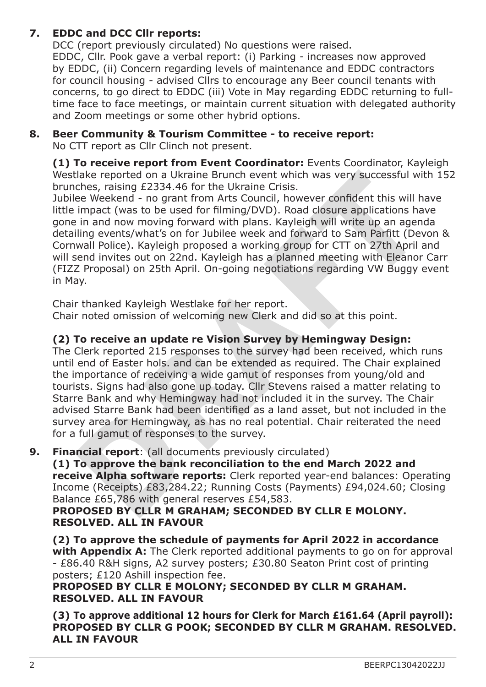# **7. EDDC and DCC Cllr reports:**

DCC (report previously circulated) No questions were raised. EDDC, Cllr. Pook gave a verbal report: (i) Parking - increases now approved by EDDC, (ii) Concern regarding levels of maintenance and EDDC contractors for council housing - advised Cllrs to encourage any Beer council tenants with concerns, to go direct to EDDC (iii) Vote in May regarding EDDC returning to fulltime face to face meetings, or maintain current situation with delegated authority and Zoom meetings or some other hybrid options.

# **8. Beer Community & Tourism Committee - to receive report:**

No CTT report as Cllr Clinch not present.

**(1) To receive report from Event Coordinator:** Events Coordinator, Kayleigh Westlake reported on a Ukraine Brunch event which was very successful with 152 brunches, raising £2334.46 for the Ukraine Crisis.

Jubilee Weekend - no grant from Arts Council, however confident this will have little impact (was to be used for filming/DVD). Road closure applications have gone in and now moving forward with plans. Kayleigh will write up an agenda detailing events/what's on for Jubilee week and forward to Sam Parfitt (Devon & Cornwall Police). Kayleigh proposed a working group for CTT on 27th April and will send invites out on 22nd. Kayleigh has a planned meeting with Eleanor Carr (FIZZ Proposal) on 25th April. On-going negotiations regarding VW Buggy event in May.

Chair thanked Kayleigh Westlake for her report.

Chair noted omission of welcoming new Clerk and did so at this point.

# **(2) To receive an update re Vision Survey by Hemingway Design:**

**Brack report from Event Coordinate:** Events Coordinates and Ukraine Bunch als reported on a Ukraine Brunch event which was very successful with 1:<br>thes, raising £2334.46 for the Ukraine Crisis.<br>The expected on o grant fro The Clerk reported 215 responses to the survey had been received, which runs until end of Easter hols. and can be extended as required. The Chair explained the importance of receiving a wide gamut of responses from young/old and tourists. Signs had also gone up today. Cllr Stevens raised a matter relating to Starre Bank and why Hemingway had not included it in the survey. The Chair advised Starre Bank had been identified as a land asset, but not included in the survey area for Hemingway, as has no real potential. Chair reiterated the need for a full gamut of responses to the survey.

**9. Financial report**: (all documents previously circulated)

**(1) To approve the bank reconciliation to the end March 2022 and receive Alpha software reports:** Clerk reported year-end balances: Operating Income (Receipts) £83,284.22; Running Costs (Payments) £94,024.60; Closing Balance £65,786 with general reserves £54,583.

**PROPOSED BY CLLR M GRAHAM; SECONDED BY CLLR E MOLONY. RESOLVED. ALL IN FAVOUR**

**(2) To approve the schedule of payments for April 2022 in accordance with Appendix A:** The Clerk reported additional payments to go on for approval - £86.40 R&H signs, A2 survey posters; £30.80 Seaton Print cost of printing posters; £120 Ashill inspection fee.

**PROPOSED BY CLLR E MOLONY; SECONDED BY CLLR M GRAHAM. RESOLVED. ALL IN FAVOUR**

**(3) To approve additional 12 hours for Clerk for March £161.64 (April payroll): PROPOSED BY CLLR G POOK; SECONDED BY CLLR M GRAHAM. RESOLVED. ALL IN FAVOUR**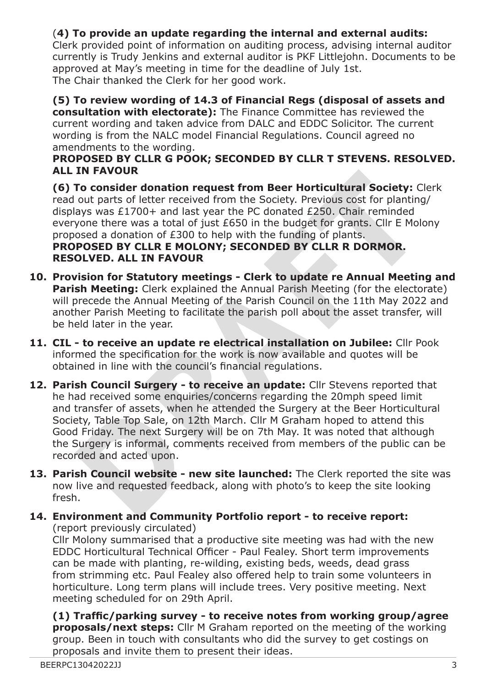# (**4) To provide an update regarding the internal and external audits:**

Clerk provided point of information on auditing process, advising internal auditor currently is Trudy Jenkins and external auditor is PKF Littlejohn. Documents to be approved at May's meeting in time for the deadline of July 1st. The Chair thanked the Clerk for her good work.

**(5) To review wording of 14.3 of Financial Regs (disposal of assets and consultation with electorate):** The Finance Committee has reviewed the current wording and taken advice from DALC and EDDC Solicitor. The current wording is from the NALC model Financial Regulations. Council agreed no amendments to the wording.

#### **PROPOSED BY CLLR G POOK; SECONDED BY CLLR T STEVENS. RESOLVED. ALL IN FAVOUR**

**(6) To consider donation request from Beer Horticultural Society:** Clerk read out parts of letter received from the Society. Previous cost for planting/ displays was £1700+ and last year the PC donated £250. Chair reminded everyone there was a total of just £650 in the budget for grants. Cllr E Molony proposed a donation of £300 to help with the funding of plants. **PROPOSED BY CLLR E MOLONY; SECONDED BY CLLR R DORMOR. RESOLVED. ALL IN FAVOUR**

- **10. Provision for Statutory meetings Clerk to update re Annual Meeting and Parish Meeting:** Clerk explained the Annual Parish Meeting (for the electorate) will precede the Annual Meeting of the Parish Council on the 11th May 2022 and another Parish Meeting to facilitate the parish poll about the asset transfer, will be held later in the year.
- **11. CIL to receive an update re electrical installation on Jubilee:** Cllr Pook informed the specification for the work is now available and quotes will be obtained in line with the council's financial regulations.
- IN FAVOUR<br>
The Consider donation request from Beer Horticultural Society: Clerk<br>
out parts of letter received from the Society. Previous cost for planting/<br>
sys was £1700+ and last year the PC donated £250. Chair reminded<br> **12. Parish Council Surgery - to receive an update:** Cllr Stevens reported that he had received some enquiries/concerns regarding the 20mph speed limit and transfer of assets, when he attended the Surgery at the Beer Horticultural Society, Table Top Sale, on 12th March. Cllr M Graham hoped to attend this Good Friday. The next Surgery will be on 7th May. It was noted that although the Surgery is informal, comments received from members of the public can be recorded and acted upon.
- **13. Parish Council website new site launched:** The Clerk reported the site was now live and requested feedback, along with photo's to keep the site looking fresh.
- **14. Environment and Community Portfolio report to receive report:** (report previously circulated)

Cllr Molony summarised that a productive site meeting was had with the new EDDC Horticultural Technical Officer - Paul Fealey. Short term improvements can be made with planting, re-wilding, existing beds, weeds, dead grass from strimming etc. Paul Fealey also offered help to train some volunteers in horticulture. Long term plans will include trees. Very positive meeting. Next meeting scheduled for on 29th April.

**(1) Traffic/parking survey - to receive notes from working group/agree proposals/next steps:** Cllr M Graham reported on the meeting of the working group. Been in touch with consultants who did the survey to get costings on proposals and invite them to present their ideas.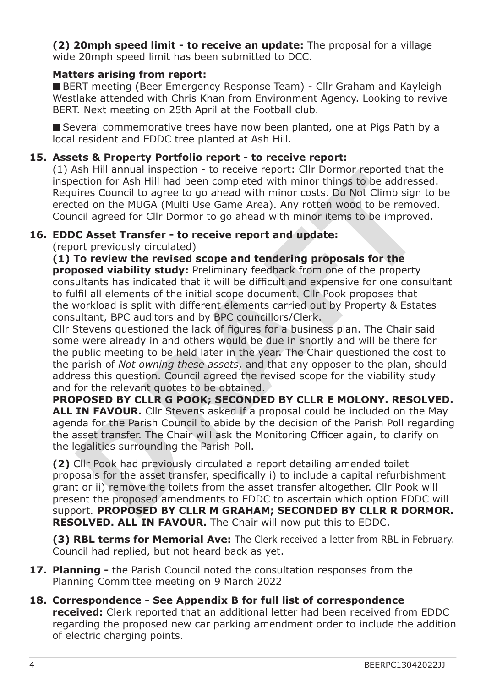**(2) 20mph speed limit - to receive an update:** The proposal for a village wide 20mph speed limit has been submitted to DCC.

### **Matters arising from report:**

■ BERT meeting (Beer Emergency Response Team) - Cllr Graham and Kayleigh Westlake attended with Chris Khan from Environment Agency. Looking to revive BERT. Next meeting on 25th April at the Football club.

■ Several commemorative trees have now been planted, one at Pigs Path by a local resident and EDDC tree planted at Ash Hill.

# **15. Assets & Property Portfolio report - to receive report:**

(1) Ash Hill annual inspection - to receive report: Cllr Dormor reported that the inspection for Ash Hill had been completed with minor things to be addressed. Requires Council to agree to go ahead with minor costs. Do Not Climb sign to be erected on the MUGA (Multi Use Game Area). Any rotten wood to be removed. Council agreed for Cllr Dormor to go ahead with minor items to be improved.

#### **16. EDDC Asset Transfer - to receive report and update:**

(report previously circulated)

**(1) To review the revised scope and tendering proposals for the proposed viability study:** Preliminary feedback from one of the property consultants has indicated that it will be difficult and expensive for one consultant to fulfil all elements of the initial scope document. Cllr Pook proposes that the workload is split with different elements carried out by Property & Estates consultant, BPC auditors and by BPC councillors/Clerk.

sh Hill annual inspection - to receive report: Clir Dormor reported that the cition for Ash Hill had been completed with minor things to be adfressed.<br>It is concel to agree to go ahead with minor costs. Do Not Climb sign t Cllr Stevens questioned the lack of figures for a business plan. The Chair said some were already in and others would be due in shortly and will be there for the public meeting to be held later in the year. The Chair questioned the cost to the parish of *Not owning these assets*, and that any opposer to the plan, should address this question. Council agreed the revised scope for the viability study and for the relevant quotes to be obtained.

**PROPOSED BY CLLR G POOK; SECONDED BY CLLR E MOLONY. RESOLVED.**  ALL IN FAVOUR. Clir Stevens asked if a proposal could be included on the May agenda for the Parish Council to abide by the decision of the Parish Poll regarding the asset transfer. The Chair will ask the Monitoring Officer again, to clarify on the legalities surrounding the Parish Poll.

**(2)** Cllr Pook had previously circulated a report detailing amended toilet proposals for the asset transfer, specifically i) to include a capital refurbishment grant or ii) remove the toilets from the asset transfer altogether. Cllr Pook will present the proposed amendments to EDDC to ascertain which option EDDC will support. **PROPOSED BY CLLR M GRAHAM; SECONDED BY CLLR R DORMOR. RESOLVED. ALL IN FAVOUR.** The Chair will now put this to EDDC.

**(3) RBL terms for Memorial Ave:** The Clerk received a letter from RBL in February. Council had replied, but not heard back as yet.

- **17. Planning** the Parish Council noted the consultation responses from the Planning Committee meeting on 9 March 2022
- **18. Correspondence See Appendix B for full list of correspondence received:** Clerk reported that an additional letter had been received from EDDC regarding the proposed new car parking amendment order to include the addition of electric charging points.